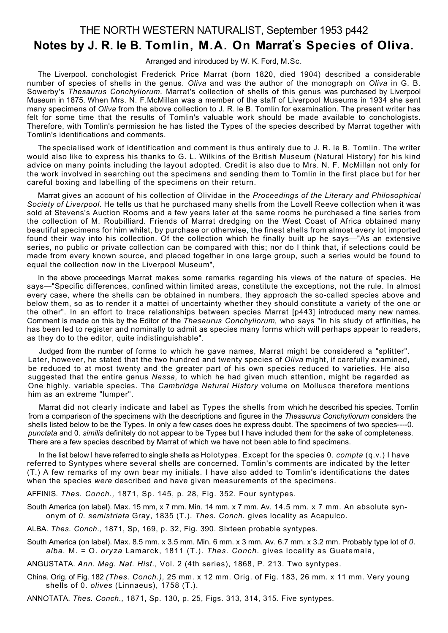## THE NORTH WESTERN NATURALIST, September 1953 p442

# **Notes by J. R. le B. Tomlin, M.A. On Marrat's Species of Oliva.**

Arranged and introduced by W. K. Ford, M.Sc.

The Liverpool. conchologist Frederick Price Marrat (born 1820, died 1904) described a considerable number of species of shells in the genus. *Oliva* and was the author of the monograph on *Oliva* in G. B. Sowerby's *Thesaurus Conchyliorum.* Marrat's collection of shells of this genus was purchased by Liverpool Museum in 1875. When Mrs. N. F.McMillan was a member of the staff of Liverpool Museums in 1934 she sent many specimens of *Oliva* from the above collection to J. R. le B. Tomlin for examination. The present writer has felt for some time that the results of Tomlin's valuable work should be made available to conchologists. Therefore, with Tomlin's permission he has listed the Types of the species described by Marrat together with Tomlin's identifications and comments.

The specialised work of identification and comment is thus entirely due to J. R. le B. Tomlin. The writer would also like to express his thanks to G. L. Wilkins of the British Museum (Natural History) for his kind advice on many points including the layout adopted. Credit is also due to Mrs. N. F. McMillan not only for the work involved in searching out the specimens and sending them to Tomlin in the first place but for her careful boxing and labelling of the specimens on their return.

Marrat gives an account of his collection of Olividae in the *Proceedings of the Literary and Philosophical Society of Liverpool.* He tells us that he purchased many shells from the Lovell Reeve collection when it was sold at Stevens's Auction Rooms and a few years later at the same rooms he purchased a fine series from the collection of M. Roubilliard. Friends of Marrat dredging on the West Coast of Africa obtained many beautiful specimens for him whilst, by purchase or otherwise, the finest shells from almost every lot imported found their way into his collection. Of the collection which he finally built up he says—"As an extensive series, no public or private collection can be compared with this; nor do I think that, if selections could be made from every known source, and placed together in one large group, such a series would be found to equal the collection now in the Liverpool Museum",

In the above proceedings Marrat makes some remarks regarding his views of the nature of species. He says—"Specific differences, confined within limited areas, constitute the exceptions, not the rule. In almost every case, where the shells can be obtained in numbers, they approach the so-called species above and below them, so as to render it a mattei of uncertainty whether they should constitute a variety of the one or the other". In an effort to trace relationships between species Marrat [p443] introduced many new names. Comment is made on this by the Editor of the *Thesaurus Conchyliorum,* who says "in his study of affinities, he has been led to register and nominally to admit as species many forms which will perhaps appear to readers, as they do to the editor, quite indistinguishable".

Judged from the number of forms to which he gave names, Marrat might be considered a "splitter". Later, however, he stated that the two hundred and twenty species of *Oliva* might, if carefully examined, be reduced to at most twenty and the greater part of his own species reduced to varieties. He also suggested that the entire genus *Nassa,* to which he had given much attention, might be regarded as One highly. variable species. The *Cambridge Natural History* volume on Mollusca therefore mentions him as an extreme "lumper".

Marrat did not clearly indicate and label as Types the shells from which he described his species. Tomlin from a comparison of the specimens with the descriptions and figures in the *Thesaurus Conchyliorum* considers the shells listed below to be the Types. In only a few cases does he express doubt. The specimens of two species----0. *punctata* and 0. *similis* definitely do not appear to be Types but I have included them for the sake of completeness. There are a few species described by Marrat of which we have not been able to find specimens.

In the list below I have referred to single shells as Holotypes. Except for the species 0. *compta* (q.v.) I have referred to Syntypes where several shells are concerned. Tomlin's comments are indicated by the letter (T.) A few remarks of my own bear my initials. I have also added to Tomlin's identifications the dates when the species *were* described and have given measurements of the specimens.

AFFINIS. *Thes. Conch.,* 1871, Sp. 145, p. 28, Fig. 352. Four syntypes.

South America (on label). Max. 15 mm, x 7 mm. Min. 14 mm. x 7 mm. Av. 14.5 mm. x 7 mm. An absolute synonym of *0. semistriata* Gray, 1835 (T.). *Thes. Conch.* gives locality as Acapulco.

ALBA. *Thes. Conch.,* 1871, Sp, 169, p. 32, Fig. 390. Sixteen probable syntypes.

South America (on label). Max. 8.5 mm. x 3.5 mm. Min. 6 mm. x 3 mm. Av. 6.7 mm. x 3.2 mm. Probably type lot of *0. alba.* M. = O. *oryza* Lamarck, 1811 (T.). *Thes. Conch.* gives locality as Guatemala,

ANGUSTATA. *Ann. Mag. Nat. Hist.,* Vol. 2 (4th series), 1868, P. 213. Two syntypes.

China. Orig. of Fig. 182 *(Thes. Conch.),* 25 mm. x 12 mm. Orig. of Fig. 183, 26 mm. x 11 mm. Very young shells of 0. *olives* (Linnaeus), 1758 (T.).

ANNOTATA. *Thes. Conch.,* 1871, Sp. 130, p. 25, Figs. 313, 314, 315. Five syntypes.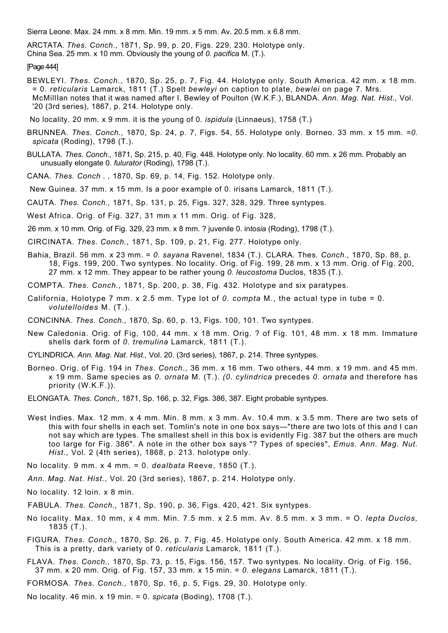Sierra Leone. Max. 24 mm. x 8 mm. Min. 19 mm. x 5 mm. Av. 20.5 mm. x 6.8 mm.

ARCTATA. *Thes. Conch.,* 1871, Sp. 99, p. 20, Figs. 229, 230. Holotype only. China Sea. 25 mm. x 10 mm. Obviously the young of *0. pacifica* M. (T.).

#### [Page 444]

- BEWLEYI. *Thes. Conch.,* 1870, Sp. 25, p. 7, Fig. 44. Holotype only. South America. 42 mm. x 18 mm. = 0. *reticularis* Lamarck, 1811 (T.) Spelt *bewleyi* on caption to plate, *bewlei* on page 7. Mrs. McMillIan notes that it was named after I. Bewley of Poulton (W.K.F.), BLANDA. *Ann. Mag. Nat. Hist.,* Vol. '20 (3rd series), 1867, p. 214. Holotype only.
- No locality. 20 mm. x 9 mm. it is the young of 0. *ispidula* (Linnaeus), 1758 (T.)
- BRUNNEA. *Thes. Conch.,* 1870, Sp. 24, p. 7, Figs. 54, 55. Holotype only. Borneo. 33 mm. x 15 mm. *=0. spicata* (Roding), 1798 (T.).
- BULLATA. *Thes. Conch.,* 1871, Sp. 215, p. 40, Fig. 448. Holotype only. No locality. 60 mm. x 26 mm. Probably an unusually elongate 0. *fulurator* (Roding), 1798 (T.).
- CANA. *Thes. Conch . ,* 1870, Sp. 69, p. 14, Fig. 152. Holotype only.
- New Guinea. 37 mm. x 15 mm. Is a poor example of 0. irisans Lamarck, 1811 (T.).
- CAUTA. *Thes. Conch.,* 1871, Sp. 131, p. 25, Figs. 327, 328, 329. Three syntypes.
- West Africa. Orig. of Fig. 327, 31 mm x 11 mm. Orig. of Fig. 328,
- 26 mm. x 10 mm. Orig. of Fig. 329, 23 mm. x 8 mm. ? juvenile 0. in*tosia* (Roding), 1798 (T.).
- CIRCINATA. *Thes. Conch.,* 1871, Sp. 109, p. 21, Fig. 277. Holotype only.
- Bahia, Brazil. 56 mm. x 23 mm. = *0. sayana* Ravenel, 1834 (T.). CLARA. Thes*. Conch.,* 1870, Sp. 88, p. 18, Figs. 199, 200. Two syntypes. No locality. Orig. of Fig. 199, 28 mm. x 13 mm. Orig. of Fig. 200, 27 mm. x 12 mm. They appear to be rather young *0. leucostoma* Duclos, 1835 (T.).
- COMPTA. *Thes. Conch.,* 1871, Sp. 200, p. 38, Fig. 432. Holotype and six paratypes.
- California, Holotype 7 mm. x 2.5 mm. Type lot of *0. compta* M., the actual type in tube = 0. *volutelloides* M. (T.).
- CONCINNA. *Thes. Conch.,* 1870, Sp. 60, p. 13, Figs. 100, 101. Two syntypes.
- New Caledonia. Orig. of Fig, 100, 44 mm. x 18 mm. Orig. ? of Fig. 101, 48 mm. x 18 mm. Immature shells dark form of *0. tremulina* Lamarck, 1811 (T.).
- CYLINDRICA. *Ann. Mag. Nat. Hist.,* Vol. 20. (3rd series), 1867, p. 214. Three syntypes.
- Borneo. Orig. of Fig. 194 in *Thes. Conch.,* 36 mm. x 16 mm. Two others, 44 mm. x 19 mm. and 45 mm. x 19 mm. Same species as *0. ornata* M. (T.). *(0. cylindrica* precedes *0. ornata* and therefore has priority (W.K.F.)).
- ELONGATA. *Thes. Conch.,* 1871, Sp. 166, p. 32, Figs. 386, 387. Eight probable syntypes.
- West Indies. Max. 12 mm. x 4 mm. Min. 8 mm. x 3 mm. Av. 10.4 mm. x 3.5 mm. There are two sets of this with four shells in each set. Tomlin's note in one box says—"there are two lots of this and I can not say which are types. The smallest shell in this box is evidently Fig. 387 but the others are much too large for Fig. 386". A note in the other box says "? Types of species", *Emus. Ann. Mag. Nut. Hist.,* Vol. 2 (4th series), 1868, p. 213. holotype only.
- No locality. 9 mm. x 4 mm. = 0. *dealbata* Reeve, 1850 (T.).
- *Ann. Mag. Nat. Hist.,* Vol. 20 (3rd series), 1867, p. 214. Holotype only.
- No locality. 12 loin. x 8 min.
- FABULA. *Thes. Conch.,* 1871, Sp. 190, p. 36, Figs. 420, 421. Six syntypes.
- No locality. Max. 10 mm, x 4 mm. Min. 7.5 mm. x 2.5 mm. Av. 8.5 mm. x 3 mm. = O. *lepta Duclos,* 1835 (T.).
- FIGURA. *Thes. Conch.,* 1870, Sp. 26, p. 7, Fig. 45. Holotype only. South America. 42 mm. x 18 mm. This is a pretty, dark variety of 0. *reticularis* Lamarck, 1811 (T.).
- FLAVA. *Thes. Conch.,* 1870, Sp. 73, p. 15, Figs. 156, 157. Two syntypes. No locality. Orig. of Fig. 156, 37 mm. x 20 mm. Orig. of Fig. 157, 33 mm. x 15 min. = *0. elegans* Lamarck, 1811 (T.).
- FORMOSA. *Thes. Conch.,* 1870, Sp. 16, p. 5, Figs. 29, 30. Holotype only.
- No locality. 46 min. x 19 min. = 0. *spicata* (Boding), 1708 (T.).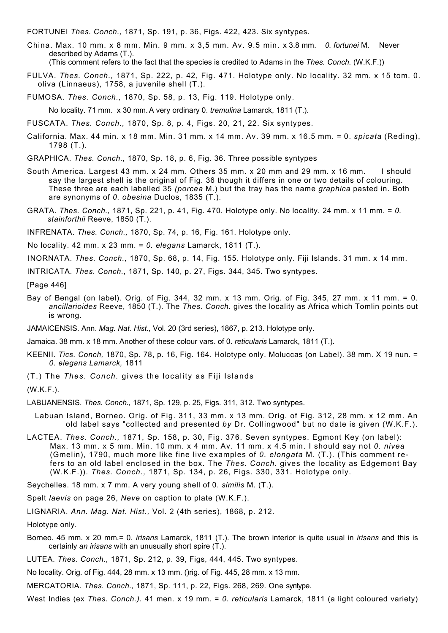FORTUNEI *Thes. Conch.,* 1871, Sp. 191, p. 36, Figs. 422, 423. Six syntypes.

China. Max. 10 mm. x 8 mm. Min. 9 mm. x 3,5 mm. Av. 9.5 min. x 3.8 mm. *0. fortunei* M. Never described by Adams (T.). (This comment refers to the fact that the species is credited to Adams in the *Thes. Conch.* (W.K.F.))

- 
- FULVA. *Thes. Conch.,* 1871, Sp. 222, p. 42, Fig. 471. Holotype only. No locality. 32 mm. x 15 tom. 0. oliva (Linnaeus), 1758, a juvenile shell (T.).

FUMOSA. *Thes. Conch.,* 1870, Sp. 58, p. 13, Fig. 119. Holotype only.

No locality. 71 mm. x 30 mm. A very ordinary 0. *tremulina* Lamarck, 1811 (T.).

FUSCATA. *Thes. Conch.,* 1870, Sp. 8, p. 4, Figs. 20, 21, 22. Six syntypes.

California. Max. 44 min. x 18 mm. Min. 31 mm. x 14 mm. Av. 39 mm. x 16.5 mm. = 0. *spicata* (Reding), 1798 (T.).

GRAPHICA. *Thes. Conch.,* 1870, Sp. 18, p. 6, Fig. 36. Three possible syntypes

- South America. Largest 43 mm. x 24 mm. Others 35 mm. x 20 mm and 29 mm. x 16 mm. I should say the largest shell is the original of Fig. 36 though it differs in one or two details of colouring. These three are each labelled 35 *(porcea* M.) but the tray has the name *graphica* pasted in. Both are synonyms of *0. obesina* Duclos, 1835 (T.).
- GRATA. *Thes. Conch.,* 1871, Sp. 221, p. 41, Fig. 470. Holotype only. No locality. 24 mm. x 11 mm. = *0. stainforthii* Reeve, 1850 (T.).

INFRENATA. *Thes. Conch.,* 1870, Sp. 74, p. 16, Fig. 161. Holotype only.

No locality. 42 mm. x 23 mm. = *0. elegans* Lamarck, 1811 (T.).

INORNATA. *Thes. Conch.,* 1870, Sp. 68, p. 14, Fig. 155. Holotype only. Fiji Islands. 31 mm. x 14 mm.

INTRICATA. *Thes. Conch.,* 1871, Sp. 140, p. 27, Figs. 344, 345. Two syntypes.

[Page 446]

Bay of Bengal (on label). Orig. of Fig. 344, 32 mm. x 13 mm. Orig. of Fig. 345, 27 mm. x 11 mm. = 0. *ancillarioides* Reeve, 1850 (T.). The *Thes. Conch.* gives the locality as Africa which Tomlin points out is wrong.

JAMAICENSIS. Ann. *Mag. Nat. Hist.,* Vol. 20 (3rd series), 1867, p. 213. Holotype only.

Jamaica. 38 mm. x 18 mm. Another of these colour vars. of 0. *reticularis* Lamarck, 1811 (T.).

- KEENII. *Tics. Conch,* 1870, Sp. 78, p. 16, Fig. 164. Holotype only. Moluccas (on Label). 38 mm. X 19 nun. = *0. elegans Lamarck,* 1811
- (T.) The *Thes. Conch.* gives the locality as Fiji Islands

(W.K.F.).

- LABUANENSIS. *Thes. Conch.,* 1871, Sp. 129, p. 25, Figs. 311, 312. Two syntypes.
- Labuan Island, Borneo. Orig. of Fig. 311, 33 mm. x 13 mm. Orig. of Fig. 312, 28 mm. x 12 mm. An old label says "collected and presented *by* Dr. Collingwood" but no date is given (W.K.F.).
- LACTEA. *Thes. Conch.,* 1871, Sp. 158, p. 30, Fig. 376. Seven syntypes. Egmont Key (on label): Max. 13 mm. x 5 mm. Min. 10 mm. x 4 mm. Av. 11 mm. x 4.5 min. I should say not *0. nivea* (Gmelin), 1790, much more like fine live examples of *0. elongata* M. (T.). (This comment refers to an old label enclosed in the box. The *Thes. Conch.* gives the locality as Edgemont Bay (W.K.F.)). *Thes. Conch.,* 1871, Sp. 134, p. 26, Figs. 330, 331. Holotype only.

Seychelles. 18 mm. x 7 mm. A very young shell of 0. *similis* M. (T.).

Spelt *laevis* on page 26, *Neve* on caption to plate (W.K.F.).

LIGNARIA. *Ann. Mag. Nat. Hist.,* Vol. 2 (4th series), 1868, p. 212.

Holotype only.

- Borneo. 45 mm. x 20 mm.= 0. *irisans* Lamarck, 1811 (T.). The brown interior is quite usual in *irisans* and this is certainly *an irisans* with an unusually short spire (T.).
- LUTEA. *Thes. Conch.,* 1871, Sp. 212, p. 39, Figs, 444, 445. Two syntypes.

No locality. Orig. of Fig. 444, 28 mm. x 13 mm. ()rig. of Fig. 445, 28 mm. x 13 mm.

MERCATORIA. *Thes. Conch.,* 1871, Sp. 111, p. 22, Figs. 268, 269. One syntype.

West Indies (ex *Thes. Conch.).* 41 men. x 19 mm. = *0. reticularis* Lamarck, 1811 (a light coloured variety)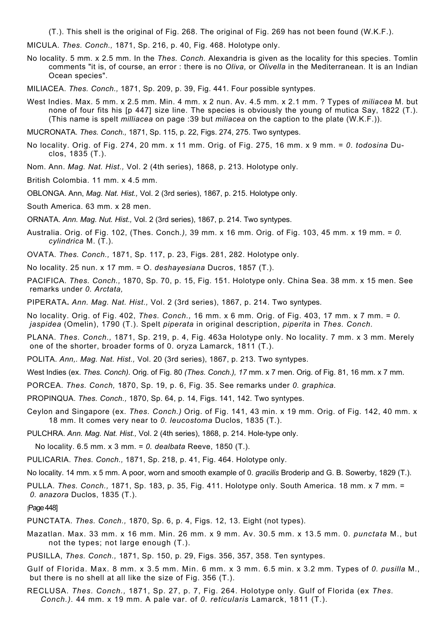(T.). This shell is the original of Fig. 268. The original of Fig. 269 has not been found (W.K.F.).

MICULA. *Thes. Conch.,* 1871, Sp. 216, p. 40, Fig. 468. Holotype only.

No locality. 5 mm. x 2.5 mm. In the *Thes. Conch.* Alexandria is given as the locality for this species. Tomlin comments "it is, of course, an error : there is no *Oliva,* or *Olivella* in the Mediterranean. It is an Indian Ocean species".

MILIACEA. *Thes. Conch.,* 1871, Sp. 209, p. 39, Fig. 441. Four possible syntypes.

West Indies. Max. 5 mm. x 2.5 mm. Min. 4 mm. x 2 nun. Av. 4.5 mm. x 2.1 mm. ? Types of *miliacea* M. but none of four fits his [p 447] size line. The species is obviously the young of mutica Say, 1822 (T.). (This name is spelt *milliacea* on page :39 but *miliacea* on the caption to the plate (W.K.F.)).

MUCRONATA. *Thes. Conch.,* 1871, Sp. 115, p. 22, Figs. 274, 275. Two syntypes.

- No locality. Orig. of Fig. 274, 20 mm. x 11 mm. Orig. of Fig. 275, 16 mm. x 9 mm. = *0. todosina* Duclos, 1835 (T.).
- Nom. Ann. *Mag. Nat. Hist.,* Vol. 2 (4th series), 1868, p. 213. Holotype only.

British Colombia. 11 mm. x 4.5 mm.

OBLONGA. Ann, *Mag. Nat. Hist.,* Vol. 2 (3rd series), 1867, p. 215. Holotype only.

South America. 63 mm. x 28 men.

ORNATA. *Ann. Mag. Nut. Hist.,* Vol. 2 (3rd series), 1867, p. 214. Two syntypes.

- Australia. Orig. of Fig. 102, (Thes. Conch*.),* 39 mm. x 16 mm. Orig. of Fig. 103, 45 mm. x 19 mm. = *0. cylindrica* M. (T.).
- OVATA. *Thes. Conch.,* 1871, Sp. 117, p. 23, Figs. 281, 282. Holotype only.
- No locality. 25 nun. x 17 mm. = O. *deshayesiana* Ducros, 1857 (T.).
- PACIFICA. *Thes. Conch.,* 1870, Sp. 70, p. 15, Fig. 151. Holotype only. China Sea. 38 mm. x 15 men. See remarks under *0. Arctata,*

PIPERATA**.** *Ann. Mag. Nat. Hist.,* Vol. 2 (3rd series), 1867, p. 214. Two syntypes.

No locality. Orig. of Fig. 402, *Thes. Conch.,* 16 mm. x 6 mm. Orig. of Fig. 403, 17 mm. x 7 mm. = *0. jaspidea* (Omelin), 1790 (T.). Spelt *piperata* in original description, *piperita* in *Thes. Conch.*

PLANA. *Thes. Conch.,* 1871, Sp. 219, p. 4, Fig. 463a Holotype only. No locality. 7 mm. x 3 mm. Merely one of the shorter, broader forms of 0. oryza Lamarck, 1811 (T.).

POLITA. *Ann,. Mag. Nat. Hist.,* Vol. 20 (3rd series), 1867, p. 213. Two syntypes.

West Indies (ex. *Thes. Conch).* Orig. of Fig. 80 *(Thes. Conch.), 17* mm. x 7 men. Orig. of Fig. 81, 16 mm. x 7 mm.

PORCEA. *Thes. Conch,* 1870, Sp. 19, p. 6, Fig. 35. See remarks under *0. graphica.*

PROPINQUA. *Thes. Conch.,* 1870, Sp. 64, p. 14, Figs. 141, 142. Two syntypes.

Ceylon and Singapore (ex. *Thes. Conch.)* Orig. of Fig. 141, 43 min. x 19 mm. Orig. of Fig. 142, 40 mm. x 18 mm. It comes very near to *0. leucostoma* Duclos, 1835 (T.).

PULCHRA. *Ann. Mag. Nat. Hist.,* Vol. 2 (4th series), 1868, p. 214. Hole-type only.

No locality. 6.5 mm. x 3 mm. = *0. dealbata* Reeve, 1850 (T.).

PULICARIA. *Thes. Conch.,* 1871, Sp. 218, p. 41, Fig. 464. Holotype only.

No locality. 14 mm. x 5 mm. A poor, worn and smooth example of 0. *gracilis* Broderip and G. B. Sowerby, 1829 (T.).

PULLA. *Thes. Conch.,* 1871, Sp. 183, p. 35, Fig. 411. Holotype only. South America. 18 mm. x 7 mm. = *0. anazora* Duclos, 1835 (T.).

#### [Page 448]

PUNCTATA. *Thes. Conch.,* 1870, Sp. 6, p. 4, Figs. 12, 13. Eight (not types).

Mazatlan. Max. 33 mm. x 16 mm. Min. 26 mm. x 9 mm. Av. 30.5 mm. x 13.5 mm. 0. *punctata* M., but not the types; not large enough (T.).

PUSILLA, *Thes. Conch.,* 1871, Sp. 150, p. 29, Figs. 356, 357, 358. Ten syntypes.

Gulf of Florida. Max. 8 mm. x 3.5 mm. Min. 6 mm. x 3 mm. 6.5 min. x 3.2 mm. Types of *0. pusilla* M., but there is no shell at all like the size of Fig. 356 (T.).

RECLUSA. *Thes. Conch.,* 1871, Sp. 27, p. 7, Fig. 264. Holotype only. Gulf of Florida (ex *Thes. Conch.).* 44 mm. x 19 mm. A pale var. of *0. reticularis* Lamarck, 1811 (T.).